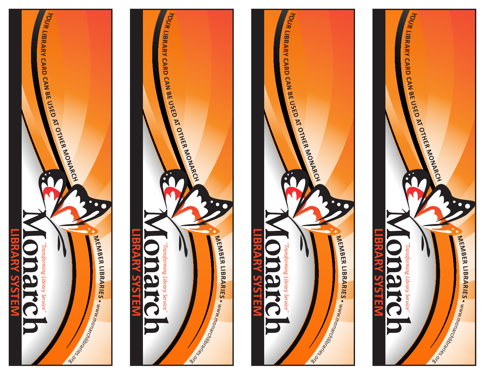